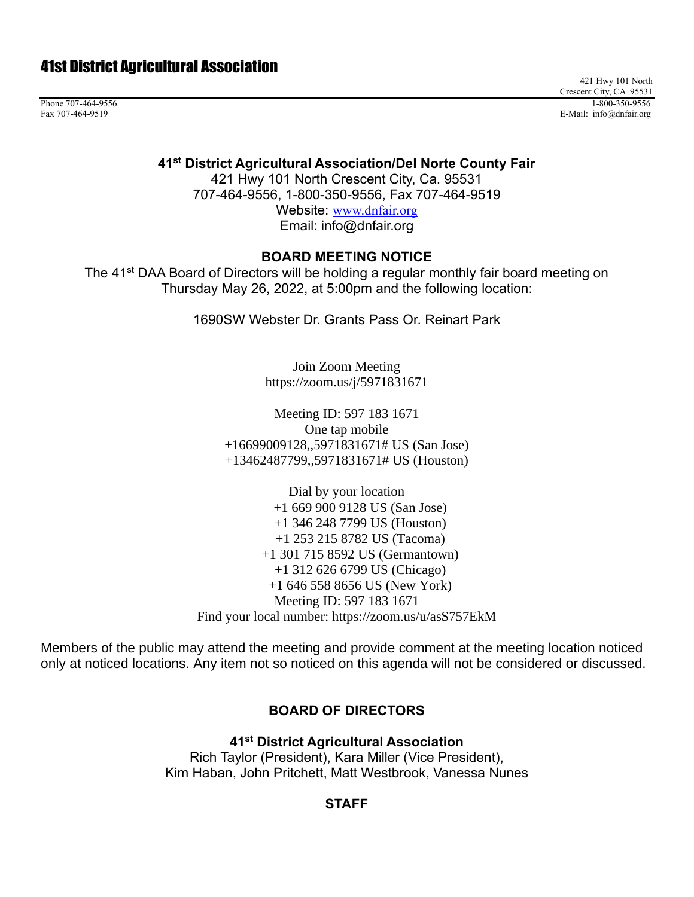# 41st District Agricultural Association

421 Hwy 101 North Crescent City, CA 95531 Phone 707-464-9556 1-800-350-9556 1-800-350-9556 1-800-350-9556 1-800-350-9556 1-800-350-9556 1-800-350-9556 1-800-350-9556 1-800-350-9556 1-800-350-9556 1-800-350-9556 1-800-350-9556 1-800-350-9556 1-800-350-9556 1-800-35 Fax 707-464-9519 E-Mail: info@dnfair.org

#### **41st District Agricultural Association/Del Norte County Fair**

421 Hwy 101 North Crescent City, Ca. 95531 707-464-9556, 1-800-350-9556, Fax 707-464-9519 Website: [www.dnfair.org](http://www.dnfair.org/) Email: info@dnfair.org

#### **BOARD MEETING NOTICE**

The 41<sup>st</sup> DAA Board of Directors will be holding a regular monthly fair board meeting on Thursday May 26, 2022, at 5:00pm and the following location:

1690SW Webster Dr. Grants Pass Or. Reinart Park

Join Zoom Meeting https://zoom.us/j/5971831671

Meeting ID: 597 183 1671 One tap mobile +16699009128,,5971831671# US (San Jose) +13462487799,,5971831671# US (Houston)

Dial by your location +1 669 900 9128 US (San Jose) +1 346 248 7799 US (Houston) +1 253 215 8782 US (Tacoma) +1 301 715 8592 US (Germantown) +1 312 626 6799 US (Chicago) +1 646 558 8656 US (New York) Meeting ID: 597 183 1671 Find your local number: https://zoom.us/u/asS757EkM

Members of the public may attend the meeting and provide comment at the meeting location noticed only at noticed locations. Any item not so noticed on this agenda will not be considered or discussed.

#### **BOARD OF DIRECTORS**

**41st District Agricultural Association** Rich Taylor (President), Kara Miller (Vice President), Kim Haban, John Pritchett, Matt Westbrook, Vanessa Nunes

#### **STAFF**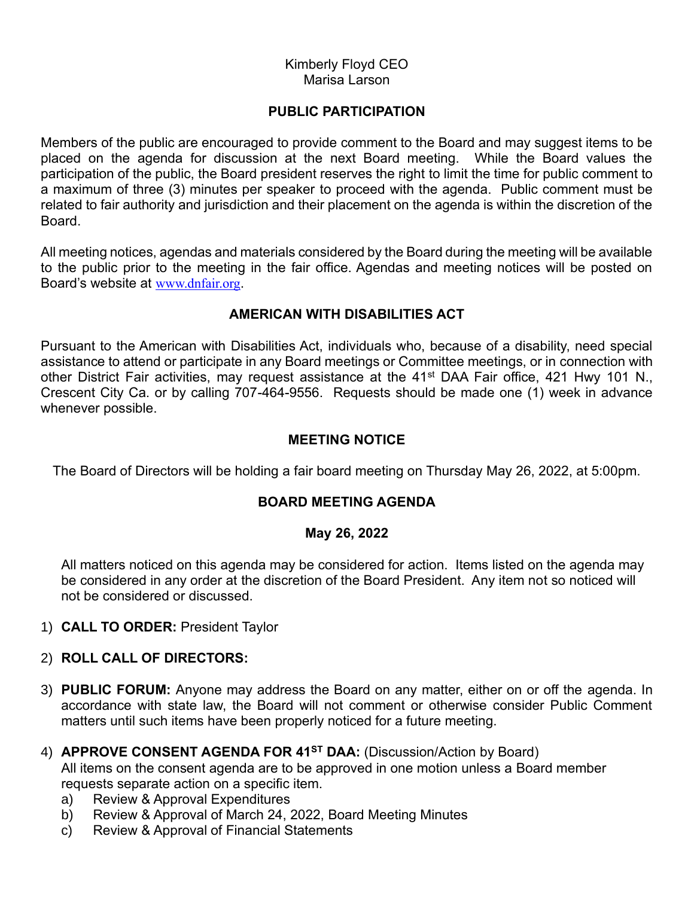#### Kimberly Floyd CEO Marisa Larson

### **PUBLIC PARTICIPATION**

Members of the public are encouraged to provide comment to the Board and may suggest items to be placed on the agenda for discussion at the next Board meeting. While the Board values the participation of the public, the Board president reserves the right to limit the time for public comment to a maximum of three (3) minutes per speaker to proceed with the agenda. Public comment must be related to fair authority and jurisdiction and their placement on the agenda is within the discretion of the Board.

All meeting notices, agendas and materials considered by the Board during the meeting will be available to the public prior to the meeting in the fair office. Agendas and meeting notices will be posted on Board's website at [www.dnfair.org](http://www.dnfair.org/).

# **AMERICAN WITH DISABILITIES ACT**

Pursuant to the American with Disabilities Act, individuals who, because of a disability, need special assistance to attend or participate in any Board meetings or Committee meetings, or in connection with other District Fair activities, may request assistance at the 41<sup>st</sup> DAA Fair office, 421 Hwy 101 N., Crescent City Ca. or by calling 707-464-9556. Requests should be made one (1) week in advance whenever possible.

### **MEETING NOTICE**

The Board of Directors will be holding a fair board meeting on Thursday May 26, 2022, at 5:00pm.

# **BOARD MEETING AGENDA**

#### **May 26, 2022**

All matters noticed on this agenda may be considered for action. Items listed on the agenda may be considered in any order at the discretion of the Board President. Any item not so noticed will not be considered or discussed.

1) **CALL TO ORDER:** President Taylor

#### 2) **ROLL CALL OF DIRECTORS:**

- 3) **PUBLIC FORUM:** Anyone may address the Board on any matter, either on or off the agenda. In accordance with state law, the Board will not comment or otherwise consider Public Comment matters until such items have been properly noticed for a future meeting.
- 4) **APPROVE CONSENT AGENDA FOR 41ST DAA:** (Discussion/Action by Board)

All items on the consent agenda are to be approved in one motion unless a Board member requests separate action on a specific item.

- a) Review & Approval Expenditures
- b) Review & Approval of March 24, 2022, Board Meeting Minutes
- c) Review & Approval of Financial Statements